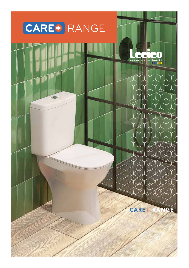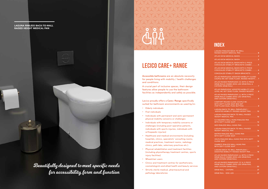Beautifully designed to meet specific needs for accessibility, form and function

# **TYTYTYYTYYTY** LITTITITITITIT YUYUYUYUYUYUYU YIYIYIYIYIYIY IYIYIYI YAYAY IYIYIYI

LAGUNA RIMLESS BACK-TO-WALL RAISED HEIGHT MEDICAL PAN

# **INDEX**

| <b>LAGUNA RIMLESS BACK-TO-WALL</b><br>RAISED HEIGHT MEDICAL PAN  B                                                     |                |
|------------------------------------------------------------------------------------------------------------------------|----------------|
|                                                                                                                        |                |
| . 2<br>ATLAS 60CM MEDICAL BASIN                                                                                        |                |
| ATLAS 50CM MEDICAL BASIN WITH 2-PIECE<br>CONCEALED STABILITY BRACKETS COMBO  4                                         |                |
| ATLAS 60CM MEDICAL BASIN WITH 2-PIECE<br>CONCEALED STABILITY BRACKETS COMBO  4                                         |                |
| CONCEALED STABILITY BASIN BRACKETS 5                                                                                   |                |
| ATLAS PARAPLEGIC ASSISTED MOBILITY CLOSE-<br>COUPLE WC SET (SIDE FLUSH, RAISED HEIGHT) 7                               |                |
| ATLAS RAISED PARAPLEGIC CC WITH 2-PIECE<br><b>GRAB RAILS COMBO (DOG-LEG GRAB RAIL &amp;</b>                            | $\overline{7}$ |
| ATLAS PARAPLEGIC ASSISTED MOBILITY LOW<br>LEVEL WC SET (SIDE FLUSH, RAISED HEIGHT)  8                                  |                |
| ATLAS RAISED PARAPLEGIC LL WITH 2-PIECE<br><b>GRAB RAILS COMBO (DOG-LEG GRAB RAIL</b><br>AND CISTERN GRAB RAIL)<br>. 8 |                |
| <b>COMFORT ROUND CLOSE COUPLE WC</b><br>WITH SOFT CLOSE SEAT BOX SET<br>(TOP FLUSH DUAL PUSH BUTTON)  9                |                |
| LAGUNA BACK-TO-WALL PARAPLEGIC /<br>ASSISTED MOBILITY RAISED HEIGHT PAN 10                                             |                |
| LAGUNA RIMLESS BACK-TO-WALL RAISED<br>$\ldots$ . 10<br><b>HEIGHT MEDICAL PAN</b>                                       |                |
| C2 SQUARED WALL-HUNG RIMLESS PAN<br>WITH SOFT CLOSE SEAT                                                               |                |
| GEO RIMLESS WALL-HUNG PAN 13                                                                                           |                |
| LAGUNA RIMLESS BACK-TO-WALL RAISED<br>14<br>HEIGHT MEDICAL PAN                                                         |                |
| MATRIX RIMLESS WALL-HUNG PAN                                                                                           |                |
| VOLTA RIMLESS WALL-HUNG PAN WITH SOFT<br><b>CLOSE SEAT</b><br>. 16                                                     |                |
| ZAMBEZI RIMLESS WALL-HUNG PAN<br>17<br>WITH SOFT CLOSE SEAT                                                            |                |
| LAGUNA BACK-TO-WALL PARAPLEGIC /<br>ASSISTED MOBILITY RAISED HEIGHT PAN<br>$\dots$ 18                                  |                |
| ATLAS RAISED PARAPLEGIC LL WITH 2-PIECE<br><b>GRAB RAILS COMBO (DOG-LEG GRAB RAIL</b><br>AND CISTERN GRAB RAIL)        |                |
| ATLAS RAISED PARAPLEGIC CC & 2-PIECE<br><b>GRAB RAILS COMBO [DOG-LEG GRAB RAIL</b>                                     |                |
|                                                                                                                        |                |
|                                                                                                                        |                |

# **LECICO CARE+ RANGE**

**Accessible bathrooms** are an absolute necessity for people living with mobility / health challenges and conditions.

A crucial part of inclusive spaces, their design features allow people to use the bathroom facilities as independently and safely as possible.

Lecico proudly offers a **Care+ Range** specifically suited for bathroom environments as used by/in:

- Elderly individuals
- Frail individuals
- Individuals with permanent and semi-permanent physical mobility concerns or challenges
- Individuals with temporary mobility concerns or challenges (including post-operative patients, individuals with sports injuries, individuals with orthopaedic injuries)
- Healthcare and medical environments (including hospitals, clinics, specialists' consulting rooms, medical practices, treatment rooms, radiology clinics, path labs, veterinary practices etc.).
- Physical rehabilitation and treatment facilities (including physiotherapy treatment centres, sports injury facilities)
- Wheelchair users
- Clinics and treatment centres for aestheticians, cosmetologists and allied health and beauty services
- Strictly sterile medical, pharmaceutical and pathology laboratories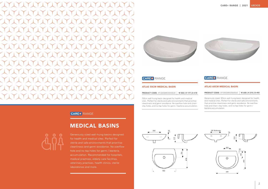

# CAREO RANGE

### ATLAS 50CM MEDICAL BASIN

#### PRODUCT CODE: ATLBASMED0500UE <sup>|</sup> W 502 | H 177 | D 418

50cm wall-hung basin designed for health and medical sites. Perfect for sterile and safe environments that prioritise cleanliness and germ-avoidance. No overflow hole and chainstay holes, and no tap holes for germ / bacteria accumulation.

# CARE<sup>+</sup> RANGE

# MEDICAL BASINS

Generously sized wall-hung basins designed for health and medical sites. Perfect for sterile and safe environments that prioritise cleanliness and germ-avoidance. No overflow hole and no tap holes for germ / bacteria accumulation. Recommended for hospitals, medical practices, elderly care facilities, veterinary practices, health clinics, sterile laboratories and more.







### ATLAS 60CM MEDICAL BASIN

PRODUCT CODE: ATLBASMED0600UE <sup>|</sup> W 600 | H 210 | D 492

Generously sized, 60cm wall-hung basin designed for health and medical sites. Perfect for sterile and safe environments that prioritise cleanliness and germ-avoidance. No overflow hole and chain-stay holes, and no tap holes for germ / bacteria accumulation.



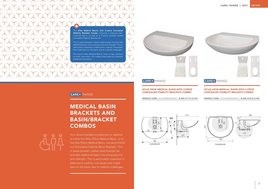#### ATLAS 50CM MEDICAL BASIN WITH 2-PIECE CONCEALED STABILITY BRACKETS COMBO

PRODUCT CODE: ATLDUOMED0500UE <sup>|</sup> W 502 | H 177 | D 418



### CARE+ RANGE

# MEDICAL BASIN BRACKETS AND BASIN/BRACKET **COMBOS**



### ATLAS 60CM MEDICAL BASIN WITH 2-PIECE CONCEALED STABILITY BRACKETS COMBO

PRODUCT CODE: ATLDUOMED0600UE <sup>|</sup> W 600 | H 210 | D 492



As a recommended complement or addition to either the Atlas 50cm Medical Basin, or to the Alas 60cm Medical Basin, we recommend our Concealed Stability Basin Brackets. This 2-piece (powder-coated steel) bracket set provides additional basin mounting security and strength. This is particularly important in bathrooms used by individuals that might lean on the basin due to mobility challenges.

The **Atlas Medical Basins with 2-piece Concealed Stability Brackets Combo** comprise a medical wallmounted basin, as well as a 2-piece, powder-coated Concealed Stability Bracket set.

This 2-piece (powder-coated steel) bracket set provides additional basin mounting security and strength. This is particularly important in bathrooms used by individuals that might lean on the basin due to mobility challenges.

The Lecico Atlas Medical Basins have no tap, overflow or chain-stay holes - this makes them ideal for medical/ sterile environments.



### CARE<sup>+</sup> RANGE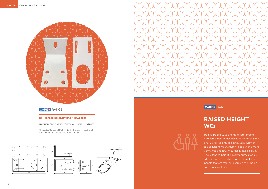### CONCEALED STABILITY BASIN BRACKETS

PRODUCT CODE: FIXSPABRKOMEDUS0 <sup>|</sup> W 70 | H 70 | D 175

# RAISED HEIGHT **WCs**

The Lecico Concealed Stability Basin Brackets for additional basin mounting strength and peace of mind.



Raised Height WCs are more comfortable and convenient to use because the toilet pans are taller in height. The extra 5cm-12cm in raised height means that it is easier and more comfortable to lower your body and sit on it. The extended height is really appreciated by wheelchair users, taller people, as well as by people that are frail, or, people who struggle with lower back pain.



# CARE+ RANGE



## CARE<sup>+</sup> RANGE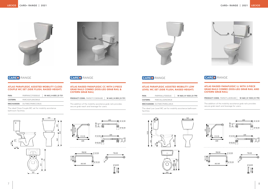



## CARE PRANGE CARE RANGE

#### ATLAS PARAPLEGIC ASSISTED MOBILITY CLOSE-COUPLE WC SET (SIDE FLUSH, RAISED HEIGHT)

| PAN:            | PARPANCCF0000UE                   | W 443   H 855   D 731 |
|-----------------|-----------------------------------|-----------------------|
| <b>CISTERN:</b> | PARCISSFLONOMUE                   |                       |
|                 | <b>MECHANISM:</b> DUTMECPAROCCMUS |                       |

The ideal Close Couple WC set for mobility assistance bathroom facilities.



ATLAS RAISED PARAPLEGIC CC WITH 2-PIECE GRAB RAILS COMBO (DOG-LEG GRAB RAIL &

CISTERN GRAB RAIL)







## PRODUCT CODE: PARSETCCB0RAIBE <sup>|</sup> W 443 | H 855 | D 731 The addition of the mobility assistance grab rails provides secure grab reach and leverage for users.

#### ATLAS PARAPLEGIC ASSISTED MOBILITY LOW LEVEL WC SET (SIDE FLUSH, RAISED HEIGHT)

| <b>PAN:</b>     | PARPANLLF0000UE | W 460   H 1033   D 790 |
|-----------------|-----------------|------------------------|
| <b>CISTERN:</b> | PARCISLLSONOMUE |                        |
|                 |                 |                        |

MECHANISM: DUTMECPAR0LLMUS

The ideal Low Level WC set for mobility assistance bathroom facilities.





### ATLAS RAISED PARAPLEGIC LL WITH 2-PIECE GRAB RAILS COMBO (DOG-LEG GRAB RAIL AND CISTERN GRAB RAIL)

PRODUCT CODE: PARSETLLB0RAIBE | W 460 | H 1033 | D 790

The addition of the mobility assistance grab rails provides secure grab reach and leverage for users.





# CARE: RANGE CARE: RANGE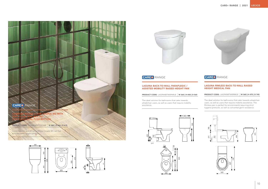### LAGUNA RIMLESS BACK-TO-WALL RAISED HEIGHT MEDICAL PAN

PRODUCT CODE: LAGPANBTW0RIMUE <sup>|</sup> W 360 | H 475 | D 745

The ideal solution for bathrooms that cater towards wheelchair users, as well as users that require mobility assistance. The Rimless pan is perfect for environments requiring strict hygiene protocols, as well as concerted germ-avoidance.











CARE<sup>O</sup> RANGE

#### LAGUNA BACK-TO-WALL PARAPLEGIC / ASSISTED MOBILITY RAISED HEIGHT PAN

PRODUCT CODE: LAGPANBTW0PARUE <sup>|</sup> W 360 | H 458 | D 560

The ideal solution for bathrooms that cater towards wheelchair users, as well as users that require mobility assistance.





# CARE<sup>O</sup> RANGE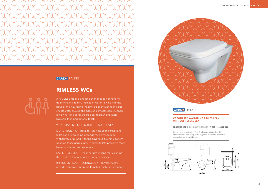## CARE+ RANGE

#### C2 SQUARED WALL-HUNG RIMLESS PAN WITH SOFT CLOSE SEAT

#### PRODUCT CODE: C2SDUOWHU0SCSBE <sup>|</sup> W 350 | H 400 | D 528

Luxury and practicality. The Rimless pan is perfect for environments requiring strict hygiene protocols, as well as concerted germ-avoidance.







# RIMLESS WCs

A RIMLESS toilet is a toilet pan that does not have the traditional inside rim. Instead of water flowing into the bowl all the way round the rim, a direct flush technique shoots water around the edge of a smooth pan. As there is no rim, rimless toilets are easy to clean and more hygienic than a traditional toilet.

WHAT MAKES RIMLESS TOILETS SO GREAT?

MORE HYGIENIC – Hard-to-reach areas of a traditional toilet pan are breeding grounds for germs to hide. Without this rim and with the advanced flushing system washing those germs away, rimless toilets provide a more hygienic day-to-day experience.

EASIER TO CLEAN – no inner rim means that cleaning the inside of the toilet pan is so much easier.

IMPROVED FLUSH TECHNOLOGY – Rimless toilets provide improved and more targeted flush performance.

![](_page_7_Picture_8.jpeg)

![](_page_7_Figure_20.jpeg)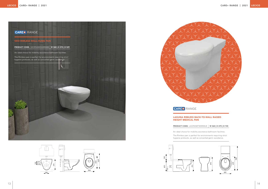![](_page_8_Picture_1.jpeg)

![](_page_8_Figure_2.jpeg)

![](_page_8_Picture_3.jpeg)

#### LAGUNA RIMLESS BACK-TO-WALL RAISED HEIGHT MEDICAL PAN

#### PRODUCT CODE: LAGPANBTW0RIMUE <sup>|</sup> W 360 | H 475 | D 745

An ideal choice for mobility assistance bathroom facilities.

The Rimless pan is perfect for environments requiring strict hygiene protocols, as well as concerted germ-avoidance.

![](_page_8_Figure_9.jpeg)

![](_page_8_Picture_4.jpeg)

![](_page_8_Figure_15.jpeg)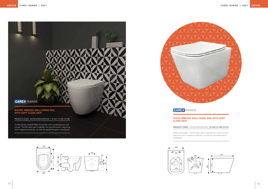![](_page_9_Picture_1.jpeg)

![](_page_9_Figure_2.jpeg)

![](_page_9_Picture_3.jpeg)

#### VOLTA RIMLESS WALL-HUNG PAN WITH SOFT CLOSE SEAT

PRODUCT CODE: VOLDUOWHU0SCSBC | W 345 | H 340 | D 510

Sleek practicality. The Rimless pan is perfect for environments requiring strict hygiene protocols, as well as concerted germavoidance.

![](_page_9_Picture_8.jpeg)

![](_page_9_Picture_4.jpeg)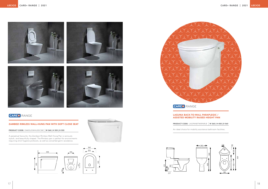![](_page_10_Picture_1.jpeg)

![](_page_10_Picture_2.jpeg)

![](_page_10_Picture_3.jpeg)

![](_page_10_Picture_4.jpeg)

# CARES RANGE

#### LAGUNA BACK-TO-WALL PARAPLEGIC / ASSISTED MOBILITY RAISED HEIGHT PAN

PRODUCT CODE: LAGPANBTW0PARUE <sup>|</sup> W 360 | H 458 | D 560

An ideal choice for mobility assistance bathroom facilities.

![](_page_10_Figure_16.jpeg)

### ZAMBEZI RIMLESS WALL-HUNG PAN WITH SOFT CLOSE SEAT

PRODUCT CODE: ZAMDUOWHU0SCSBC <sup>|</sup> W 360 | H 355 | D 555

A perpetual favourite, the Zambezi Rimless Wall-Hung Pan is seriously stylish, and beautifully shaped. The Rimless pan is perfect for environments requiring strict hygiene protocols, as well as concerted germ-avoidance.

![](_page_10_Figure_9.jpeg)

![](_page_10_Picture_10.jpeg)

![](_page_10_Picture_11.jpeg)

CAREO RANGE

![](_page_10_Figure_20.jpeg)

![](_page_10_Figure_21.jpeg)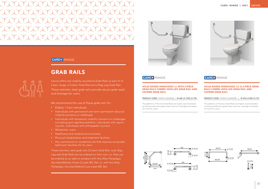## CARE+ RANGE

# GRAB RAILS

Lecico offers two mobility assistance Grab Rails as part of its Care+ range, a Cistern Grab Rail and a Dog-Leg Grab Rail. These stainless steel grab rails provide secure grab reach and leverage for users.

We recommend the use of these grab rails for:

- Elderly / frail individuals
- Individuals with permanent and semi-permanent physical mobility concerns or challenges
- Individuals with temporary mobility concerns or challenges (including post-operative patients, individuals with sports injuries, individuals with orthopaedic injuries)
- Wheelchair users
- Healthcare and medical environments
- Physical rehabilitation and treatment facilities
- Any commercial or residential site that requires accessible bathroom facilities for its users

These stainless steel grab rails (Cistern Grab Rail, and, Dog-Leg wall Grab Rail) can be ordered on their own, or, they can be ordered as an add-on product with the Atlas Paraplegic Assisted Mobility Close-Couple WC Set, or, with the Atlas Paraplegic Assisted Mobility Low Level WC Set.

![](_page_11_Picture_13.jpeg)

## CARE<sup>+</sup> RANGE

#### ATLAS RAISED PARAPLEGIC LL WITH 2-PIECE GRAB RAILS COMBO (DOG-LEG GRAB RAIL AND CISTERN GRAB RAIL)

PRODUCT CODE: PARSETLLB0RAIBE | W 460 | H 1033 | D 790

The addition of the two Grab Rails are highly recommended as they provide extra grab reach security, leverage and peace of mind for users.

![](_page_11_Figure_18.jpeg)

![](_page_11_Picture_21.jpeg)

### ATLAS RAISED PARAPLEGIC CC & 2-PIECE GRAB RAILS COMBO (DOG-LEG GRAB RAIL AND CISTERN GRAB RAIL)

PRODUCT CODE: PARSETCCB0RAIBE | W 443 | H 855 | D 731

The addition of the two Grab Rails are highly recommended as they provide extra grab reach security, leverage and peace of mind for users.

![](_page_11_Figure_26.jpeg)

![](_page_11_Picture_20.jpeg)